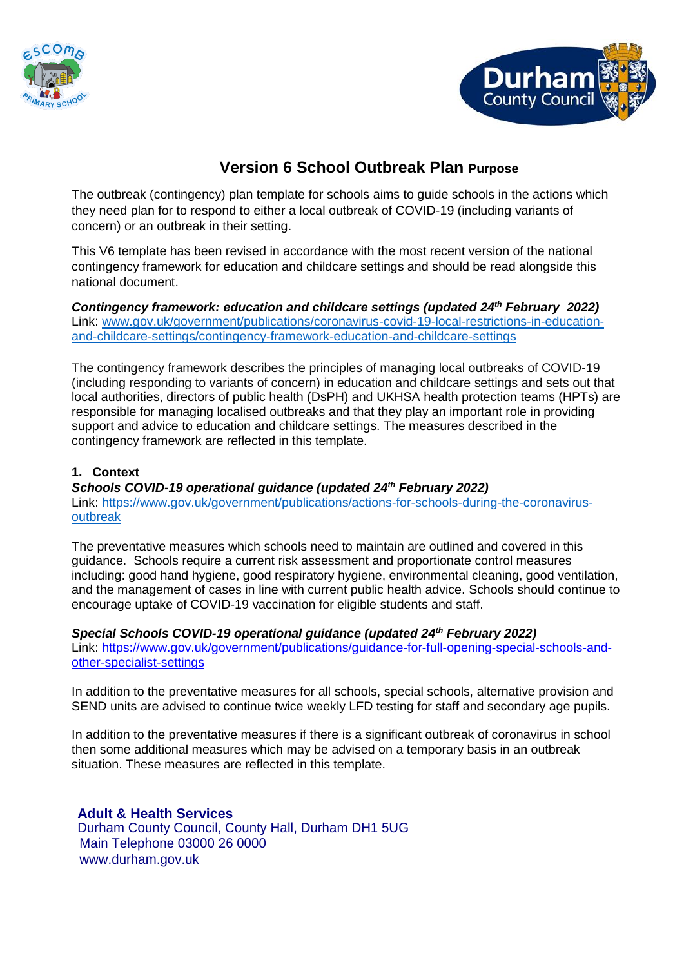



# **Version 6 School Outbreak Plan Purpose**

The outbreak (contingency) plan template for schools aims to guide schools in the actions which they need plan for to respond to either a local outbreak of COVID-19 (including variants of concern) or an outbreak in their setting.

This V6 template has been revised in accordance with the most recent version of the national contingency framework for education and childcare settings and should be read alongside this national document.

Contingency framework: education and childcare settings (updated 24<sup>th</sup> February 2022) Link: [www.gov.uk/government/publications/coronavirus-covid-19-local-restrictions-in-education](http://www.gov.uk/government/publications/coronavirus-covid-19-local-restrictions-in-education-and-childcare-settings/contingency-framework-education-and-childcare-settings)[and-childcare-settings/contingency-framework-education-and-childcare-settings](http://www.gov.uk/government/publications/coronavirus-covid-19-local-restrictions-in-education-and-childcare-settings/contingency-framework-education-and-childcare-settings)

The contingency framework describes the principles of managing local outbreaks of COVID-19 (including responding to variants of concern) in education and childcare settings and sets out that local authorities, directors of public health (DsPH) and UKHSA health protection teams (HPTs) are responsible for managing localised outbreaks and that they play an important role in providing support and advice to education and childcare settings. The measures described in the contingency framework are reflected in this template.

### **1. Context**

*Schools COVID-19 operational guidance (updated 24 th February 2022)*  Link: [https://www.gov.uk/government/publications/actions-for-schools-during-the-coronavirus](https://www.gov.uk/government/publications/actions-for-schools-during-the-coronavirus-outbreak)[outbreak](https://www.gov.uk/government/publications/actions-for-schools-during-the-coronavirus-outbreak)

The preventative measures which schools need to maintain are outlined and covered in this guidance. Schools require a current risk assessment and proportionate control measures including: good hand hygiene, good respiratory hygiene, environmental cleaning, good ventilation, and the management of cases in line with current public health advice. Schools should continue to encourage uptake of COVID-19 vaccination for eligible students and staff.

*Special Schools COVID-19 operational guidance (updated 24th February 2022)* Link: [https://www.gov.uk/government/publications/guidance-for-full-opening-special-schools-and](https://www.gov.uk/government/publications/guidance-for-full-opening-special-schools-and-other-specialist-settings)[other-specialist-settings](https://www.gov.uk/government/publications/guidance-for-full-opening-special-schools-and-other-specialist-settings)

In addition to the preventative measures for all schools, special schools, alternative provision and SEND units are advised to continue twice weekly LFD testing for staff and secondary age pupils.

In addition to the preventative measures if there is a significant outbreak of coronavirus in school then some additional measures which may be advised on a temporary basis in an outbreak situation. These measures are reflected in this template.

**Adult & Health Services** Durham County Council, County Hall, Durham DH1 5UG Main Telephone 03000 26 0000 www.durham.gov.uk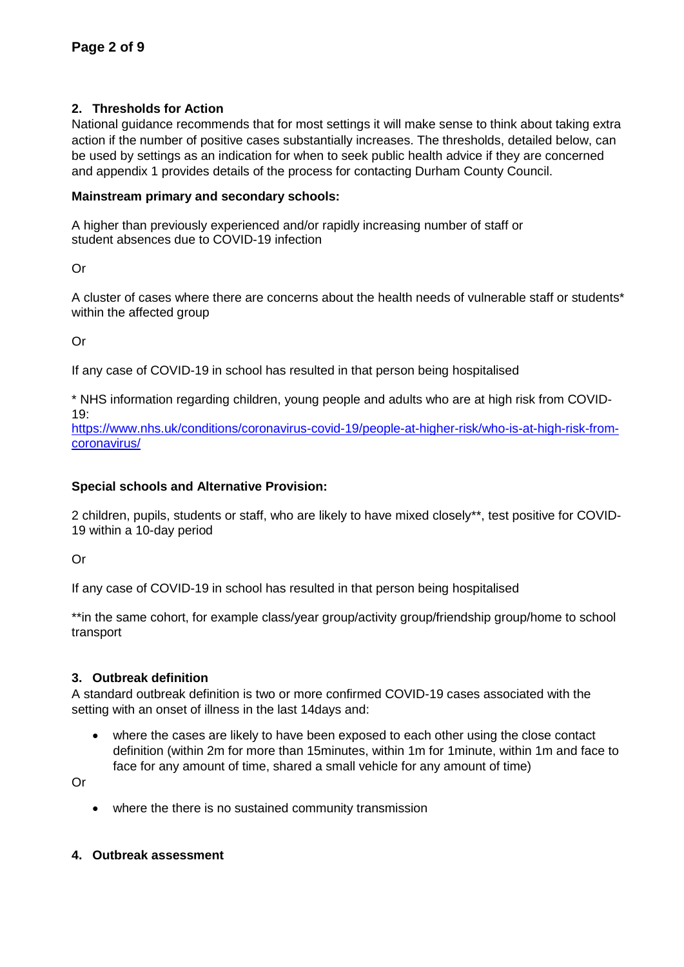#### **2. Thresholds for Action**

National guidance recommends that for most settings it will make sense to think about taking extra action if the number of positive cases substantially increases. The thresholds, detailed below, can be used by settings as an indication for when to seek public health advice if they are concerned and appendix 1 provides details of the process for contacting Durham County Council.

#### **Mainstream primary and secondary schools:**

A higher than previously experienced and/or rapidly increasing number of staff or student absences due to COVID-19 infection

Or

A cluster of cases where there are concerns about the health needs of vulnerable staff or students\* within the affected group

Or

If any case of COVID-19 in school has resulted in that person being hospitalised

\* NHS information regarding children, young people and adults who are at high risk from COVID- $19.$ 

[https://www.nhs.uk/conditions/coronavirus-covid-19/people-at-higher-risk/who-is-at-high-risk-from](https://www.nhs.uk/conditions/coronavirus-covid-19/people-at-higher-risk/who-is-at-high-risk-from-coronavirus/)[coronavirus/](https://www.nhs.uk/conditions/coronavirus-covid-19/people-at-higher-risk/who-is-at-high-risk-from-coronavirus/)

#### **Special schools and Alternative Provision:**

2 children, pupils, students or staff, who are likely to have mixed closely\*\*, test positive for COVID-19 within a 10-day period

Or

If any case of COVID-19 in school has resulted in that person being hospitalised

\*\*in the same cohort, for example class/year group/activity group/friendship group/home to school transport

#### **3. Outbreak definition**

A standard outbreak definition is two or more confirmed COVID-19 cases associated with the setting with an onset of illness in the last 14days and:

• where the cases are likely to have been exposed to each other using the close contact definition (within 2m for more than 15minutes, within 1m for 1minute, within 1m and face to face for any amount of time, shared a small vehicle for any amount of time)

Or

• where the there is no sustained community transmission

#### **4. Outbreak assessment**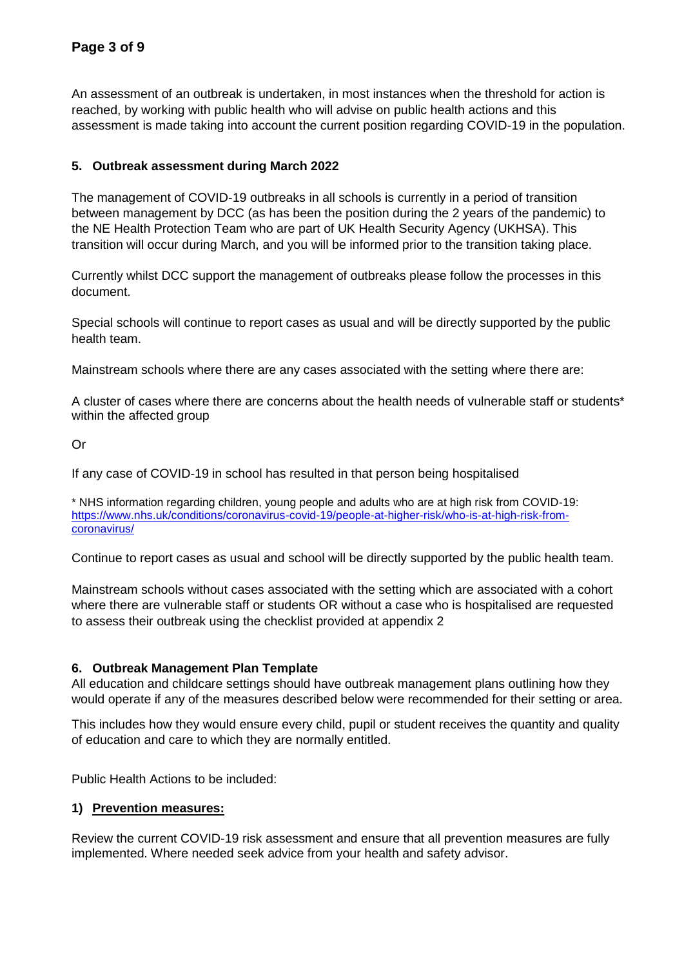An assessment of an outbreak is undertaken, in most instances when the threshold for action is reached, by working with public health who will advise on public health actions and this assessment is made taking into account the current position regarding COVID-19 in the population.

#### **5. Outbreak assessment during March 2022**

The management of COVID-19 outbreaks in all schools is currently in a period of transition between management by DCC (as has been the position during the 2 years of the pandemic) to the NE Health Protection Team who are part of UK Health Security Agency (UKHSA). This transition will occur during March, and you will be informed prior to the transition taking place.

Currently whilst DCC support the management of outbreaks please follow the processes in this document.

Special schools will continue to report cases as usual and will be directly supported by the public health team.

Mainstream schools where there are any cases associated with the setting where there are:

A cluster of cases where there are concerns about the health needs of vulnerable staff or students\* within the affected group

Or

If any case of COVID-19 in school has resulted in that person being hospitalised

\* NHS information regarding children, young people and adults who are at high risk from COVID-19: [https://www.nhs.uk/conditions/coronavirus-covid-19/people-at-higher-risk/who-is-at-high-risk-from](https://www.nhs.uk/conditions/coronavirus-covid-19/people-at-higher-risk/who-is-at-high-risk-from-coronavirus/)[coronavirus/](https://www.nhs.uk/conditions/coronavirus-covid-19/people-at-higher-risk/who-is-at-high-risk-from-coronavirus/)

Continue to report cases as usual and school will be directly supported by the public health team.

Mainstream schools without cases associated with the setting which are associated with a cohort where there are vulnerable staff or students OR without a case who is hospitalised are requested to assess their outbreak using the checklist provided at appendix 2

#### **6. Outbreak Management Plan Template**

All education and childcare settings should have outbreak management plans outlining how they would operate if any of the measures described below were recommended for their setting or area.

This includes how they would ensure every child, pupil or student receives the quantity and quality of education and care to which they are normally entitled.

Public Health Actions to be included:

#### **1) Prevention measures:**

Review the current COVID-19 risk assessment and ensure that all prevention measures are fully implemented. Where needed seek advice from your health and safety advisor.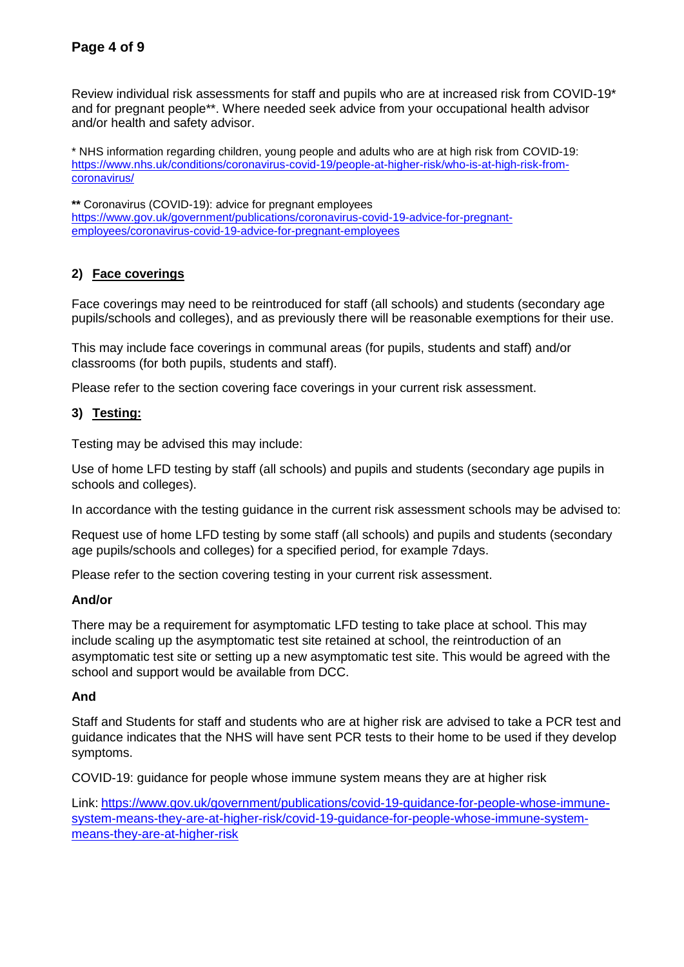Review individual risk assessments for staff and pupils who are at increased risk from COVID-19\* and for pregnant people\*\*. Where needed seek advice from your occupational health advisor and/or health and safety advisor.

\* NHS information regarding children, young people and adults who are at high risk from COVID-19: [https://www.nhs.uk/conditions/coronavirus-covid-19/people-at-higher-risk/who-is-at-high-risk-from](https://www.nhs.uk/conditions/coronavirus-covid-19/people-at-higher-risk/who-is-at-high-risk-from-coronavirus/)[coronavirus/](https://www.nhs.uk/conditions/coronavirus-covid-19/people-at-higher-risk/who-is-at-high-risk-from-coronavirus/)

**\*\*** Coronavirus (COVID-19): advice for pregnant employees [https://www.gov.uk/government/publications/coronavirus-covid-19-advice-for-pregnant](https://www.gov.uk/government/publications/coronavirus-covid-19-advice-for-pregnant-employees/coronavirus-covid-19-advice-for-pregnant-employees)[employees/coronavirus-covid-19-advice-for-pregnant-employees](https://www.gov.uk/government/publications/coronavirus-covid-19-advice-for-pregnant-employees/coronavirus-covid-19-advice-for-pregnant-employees)

#### **2) Face coverings**

Face coverings may need to be reintroduced for staff (all schools) and students (secondary age pupils/schools and colleges), and as previously there will be reasonable exemptions for their use.

This may include face coverings in communal areas (for pupils, students and staff) and/or classrooms (for both pupils, students and staff).

Please refer to the section covering face coverings in your current risk assessment.

#### **3) Testing:**

Testing may be advised this may include:

Use of home LFD testing by staff (all schools) and pupils and students (secondary age pupils in schools and colleges).

In accordance with the testing guidance in the current risk assessment schools may be advised to:

Request use of home LFD testing by some staff (all schools) and pupils and students (secondary age pupils/schools and colleges) for a specified period, for example 7days.

Please refer to the section covering testing in your current risk assessment.

#### **And/or**

There may be a requirement for asymptomatic LFD testing to take place at school. This may include scaling up the asymptomatic test site retained at school, the reintroduction of an asymptomatic test site or setting up a new asymptomatic test site. This would be agreed with the school and support would be available from DCC.

#### **And**

Staff and Students for staff and students who are at higher risk are advised to take a PCR test and guidance indicates that the NHS will have sent PCR tests to their home to be used if they develop symptoms.

COVID-19: guidance for people whose immune system means they are at higher risk

Link: [https://www.gov.uk/government/publications/covid-19-guidance-for-people-whose-immune](https://www.gov.uk/government/publications/covid-19-guidance-for-people-whose-immune-system-means-they-are-at-higher-risk/covid-19-guidance-for-people-whose-immune-system-means-they-are-at-higher-risk)[system-means-they-are-at-higher-risk/covid-19-guidance-for-people-whose-immune-system](https://www.gov.uk/government/publications/covid-19-guidance-for-people-whose-immune-system-means-they-are-at-higher-risk/covid-19-guidance-for-people-whose-immune-system-means-they-are-at-higher-risk)[means-they-are-at-higher-risk](https://www.gov.uk/government/publications/covid-19-guidance-for-people-whose-immune-system-means-they-are-at-higher-risk/covid-19-guidance-for-people-whose-immune-system-means-they-are-at-higher-risk)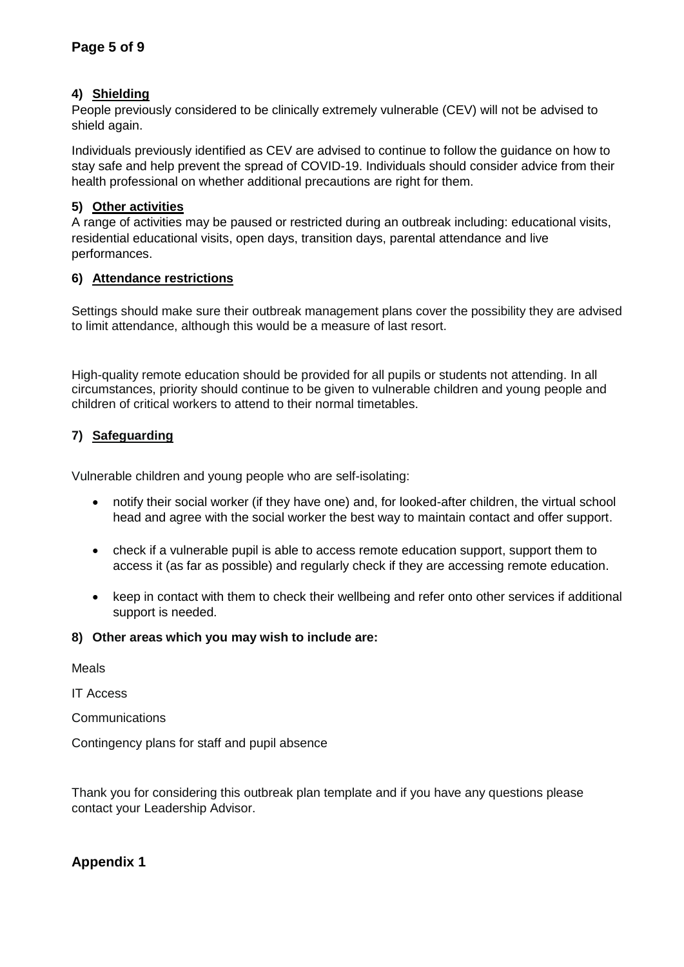#### **4) Shielding**

People previously considered to be clinically extremely vulnerable (CEV) will not be advised to shield again.

Individuals previously identified as CEV are advised to continue to follow the guidance on how to stay safe and help prevent the spread of COVID-19. Individuals should consider advice from their health professional on whether additional precautions are right for them.

#### **5) Other activities**

A range of activities may be paused or restricted during an outbreak including: educational visits, residential educational visits, open days, transition days, parental attendance and live performances.

#### **6) Attendance restrictions**

Settings should make sure their outbreak management plans cover the possibility they are advised to limit attendance, although this would be a measure of last resort.

High-quality remote education should be provided for all pupils or students not attending. In all circumstances, priority should continue to be given to vulnerable children and young people and children of critical workers to attend to their normal timetables.

#### **7) Safeguarding**

Vulnerable children and young people who are self-isolating:

- notify their social worker (if they have one) and, for looked-after children, the virtual school head and agree with the social worker the best way to maintain contact and offer support.
- check if a vulnerable pupil is able to access remote education support, support them to access it (as far as possible) and regularly check if they are accessing remote education.
- keep in contact with them to check their wellbeing and refer onto other services if additional support is needed.

#### **8) Other areas which you may wish to include are:**

Meals

IT Access

**Communications** 

Contingency plans for staff and pupil absence

Thank you for considering this outbreak plan template and if you have any questions please contact your Leadership Advisor.

## **Appendix 1**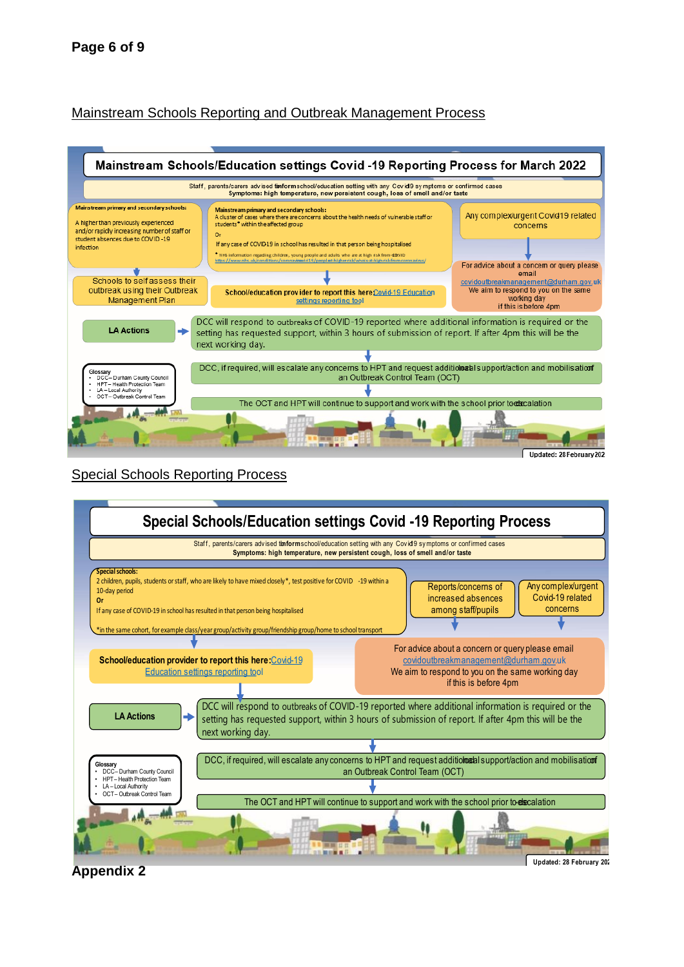## Mainstream Schools Reporting and Outbreak Management Process



## Special Schools Reporting Process



**Appendix 2**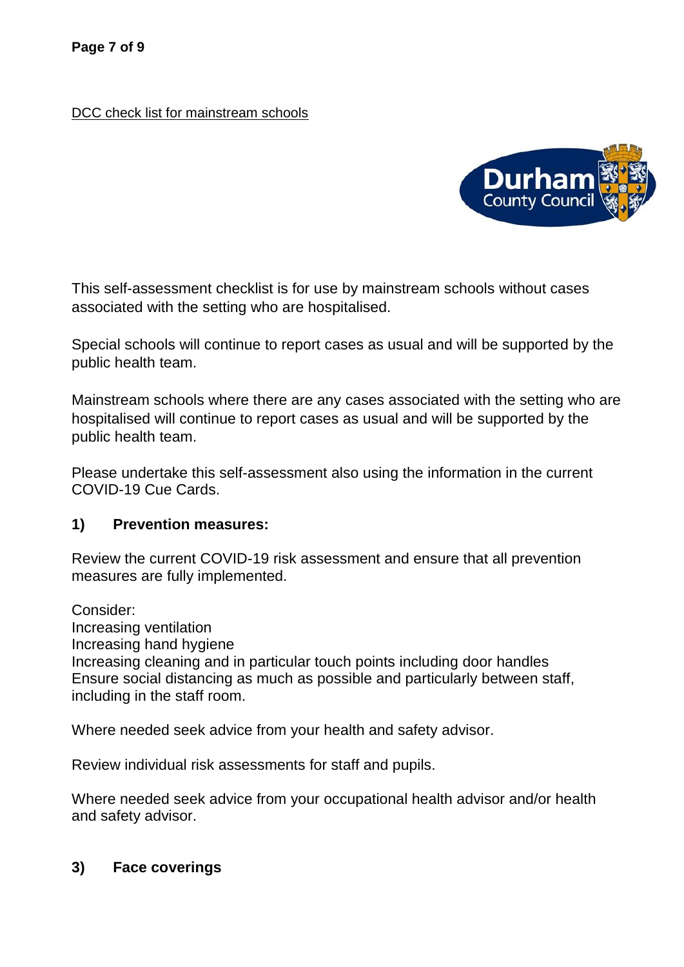DCC check list for mainstream schools



This self-assessment checklist is for use by mainstream schools without cases associated with the setting who are hospitalised.

Special schools will continue to report cases as usual and will be supported by the public health team.

Mainstream schools where there are any cases associated with the setting who are hospitalised will continue to report cases as usual and will be supported by the public health team.

Please undertake this self-assessment also using the information in the current COVID-19 Cue Cards.

## **1) Prevention measures:**

Review the current COVID-19 risk assessment and ensure that all prevention measures are fully implemented.

Consider:

Increasing ventilation

Increasing hand hygiene

Increasing cleaning and in particular touch points including door handles Ensure social distancing as much as possible and particularly between staff, including in the staff room.

Where needed seek advice from your health and safety advisor.

Review individual risk assessments for staff and pupils.

Where needed seek advice from your occupational health advisor and/or health and safety advisor.

## **3) Face coverings**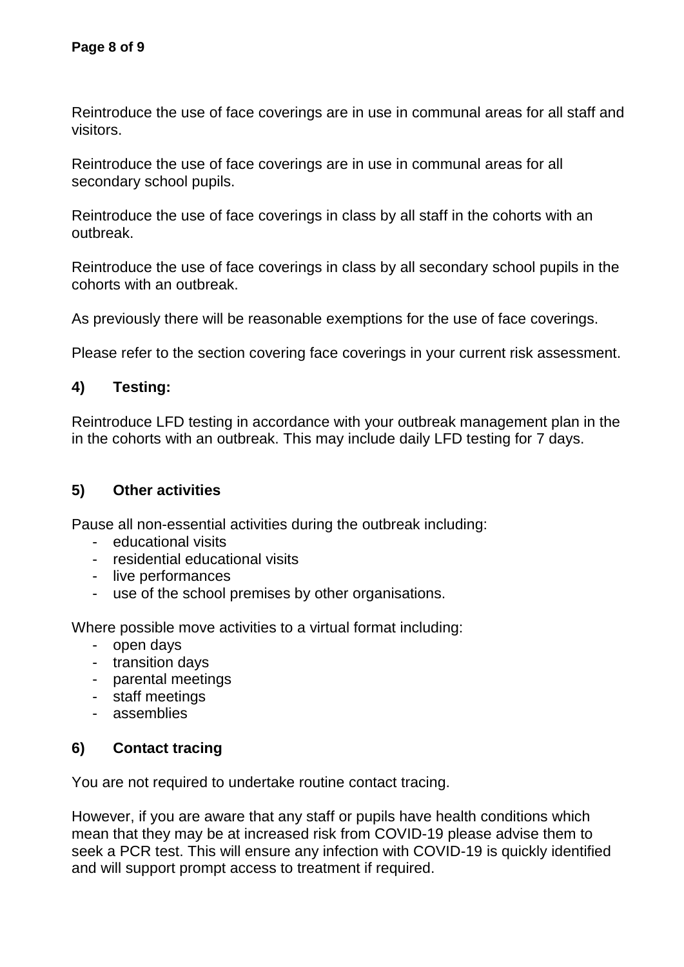Reintroduce the use of face coverings are in use in communal areas for all staff and visitors.

Reintroduce the use of face coverings are in use in communal areas for all secondary school pupils.

Reintroduce the use of face coverings in class by all staff in the cohorts with an outbreak.

Reintroduce the use of face coverings in class by all secondary school pupils in the cohorts with an outbreak.

As previously there will be reasonable exemptions for the use of face coverings.

Please refer to the section covering face coverings in your current risk assessment.

# **4) Testing:**

Reintroduce LFD testing in accordance with your outbreak management plan in the in the cohorts with an outbreak. This may include daily LFD testing for 7 days.

# **5) Other activities**

Pause all non-essential activities during the outbreak including:

- educational visits
- residential educational visits
- live performances
- use of the school premises by other organisations.

Where possible move activities to a virtual format including:

- open days
- transition days
- parental meetings
- staff meetings
- assemblies

# **6) Contact tracing**

You are not required to undertake routine contact tracing.

However, if you are aware that any staff or pupils have health conditions which mean that they may be at increased risk from COVID-19 please advise them to seek a PCR test. This will ensure any infection with COVID-19 is quickly identified and will support prompt access to treatment if required.